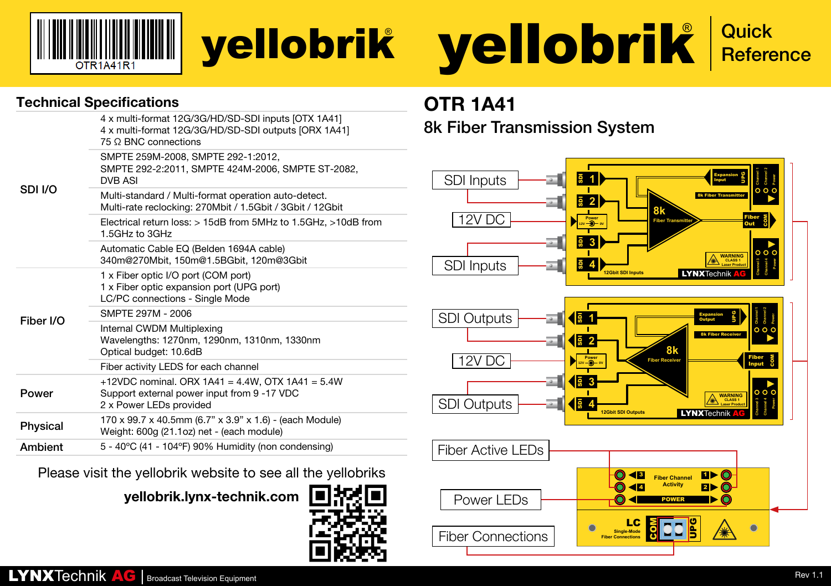



### Technical Specifications **OTR 1A41**

| SDI I/O   | 4 x multi-format 12G/3G/HD/SD-SDI inputs [OTX 1A41]<br>4 x multi-format 12G/3G/HD/SD-SDI outputs [ORX 1A41]<br>75 O BNC connections |
|-----------|-------------------------------------------------------------------------------------------------------------------------------------|
|           | SMPTE 259M-2008, SMPTE 292-1:2012,<br>SMPTE 292-2:2011. SMPTE 424M-2006. SMPTE ST-2082.<br><b>DVB ASI</b>                           |
|           | Multi-standard / Multi-format operation auto-detect.<br>Multi-rate reclocking: 270Mbit / 1.5Gbit / 3Gbit / 12Gbit                   |
|           | Electrical return loss: $>$ 15dB from 5MHz to 1.5GHz. $>$ 10dB from<br>1.5GHz to 3GHz                                               |
|           | Automatic Cable EQ (Belden 1694A cable)<br>340m@270Mbit, 150m@1.5BGbit, 120m@3Gbit                                                  |
| Fiber I/O | 1 x Fiber optic I/O port (COM port)<br>1 x Fiber optic expansion port (UPG port)<br>LC/PC connections - Single Mode                 |
|           | SMPTF 297M - 2006                                                                                                                   |
|           | Internal CWDM Multiplexing<br>Wavelengths: 1270nm, 1290nm, 1310nm, 1330nm<br>Optical budget: 10.6dB                                 |
|           | Fiber activity LEDS for each channel                                                                                                |
| Power     | +12VDC nominal. ORX 1A41 = 4.4W, OTX 1A41 = 5.4W<br>Support external power input from 9 -17 VDC<br>2 x Power LEDs provided          |
| Physical  | 170 x 99.7 x 40.5mm (6.7" x 3.9" x 1.6) - (each Module)<br>Weight: 600g (21.1oz) net - (each module)                                |
| Ambient   | 5 - 40°C (41 - 104°F) 90% Humidity (non condensing)                                                                                 |

Please visit the yellobrik website to see all the yellobriks

yellobrik.lynx-technik.com



8k Fiber Transmission System